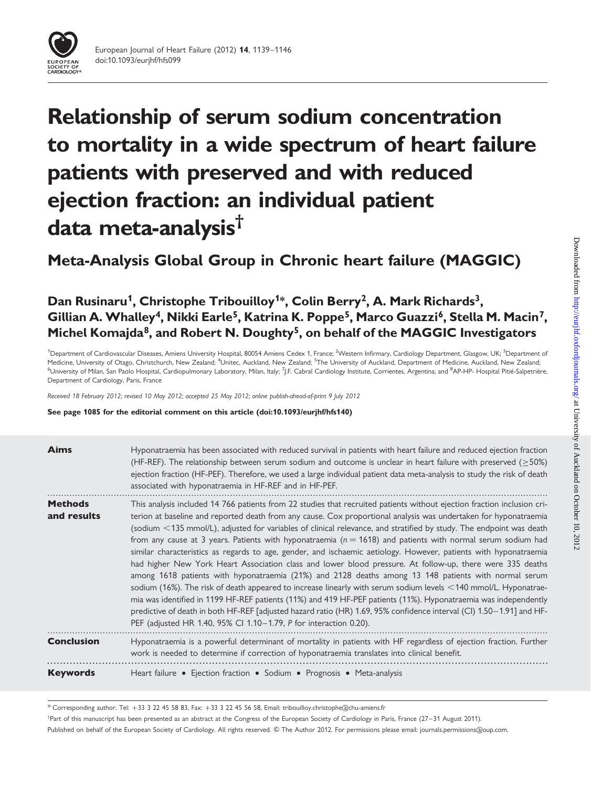

# Relationship of serum sodium concentration to mortality in a wide spectrum of heart failure patients with preserved and with reduced ejection fraction: an individual patient data meta-analysis†

Meta-Analysis Global Group in Chronic heart failure (MAGGIC)

Dan Rusinaru<sup>1</sup>, Christophe Tribouilloy<sup>1\*</sup>, Colin Berry<sup>2</sup>, A. Mark Richards<sup>3</sup>, Gillian A. Whalley<sup>4</sup>, Nikki Earle<sup>5</sup>, Katrina K. Poppe<sup>5</sup>, Marco Guazzi<sup>6</sup>, Stella M. Macin<sup>7</sup>, Michel Komajda<sup>8</sup>, and Robert N. Doughty<sup>5</sup>, on behalf of the MAGGIC Investigators

<sup>1</sup>Department of Cardiovascular Diseases, Amiens University Hospital, 80054 Amiens Cedex 1, France; <sup>2</sup>Western Infirmary, Cardiology Department, Glasgow, UK; <sup>3</sup>Department of Medicine, University of Otago, Christchurch, New Zealand; <sup>4</sup>Unitec, Auckland, New Zealand; <sup>5</sup>The University of Auckland, Department of Medicine, Auckland, New Zealand <sup>6</sup>University of Milan, San Paolo Hospital, Cardiopulmonary Laboratory, Milan, Italy; <sup>7</sup>J.F. Cabral Cardiology Institute, Corrientes, Argentina; and <sup>8</sup>AP-HP- Hospital Pitié-Salpetrière Department of Cardiology, Paris, France

Received 18 February 2012; revised 10 May 2012; accepted 25 May 2012; online publish-ahead-of-print 9 July 2012

See page 1085 for the editorial comment on this article (doi:10.1093/eurjhf/hfs140)

| <b>Aims</b>                   | Hyponatraemia has been associated with reduced survival in patients with heart failure and reduced ejection fraction<br>(HF-REF). The relationship between serum sodium and outcome is unclear in heart failure with preserved ( $>50\%$ )<br>ejection fraction (HF-PEF). Therefore, we used a large individual patient data meta-analysis to study the risk of death<br>associated with hyponatraemia in HF-REF and in HF-PEF.                                                                                                                                                                                                                                                                                                                                                                                                                                                                                                                                                                                                                                                                                                                                                                                                                                    |
|-------------------------------|--------------------------------------------------------------------------------------------------------------------------------------------------------------------------------------------------------------------------------------------------------------------------------------------------------------------------------------------------------------------------------------------------------------------------------------------------------------------------------------------------------------------------------------------------------------------------------------------------------------------------------------------------------------------------------------------------------------------------------------------------------------------------------------------------------------------------------------------------------------------------------------------------------------------------------------------------------------------------------------------------------------------------------------------------------------------------------------------------------------------------------------------------------------------------------------------------------------------------------------------------------------------|
| <b>Methods</b><br>and results | This analysis included 14 766 patients from 22 studies that recruited patients without ejection fraction inclusion cri-<br>terion at baseline and reported death from any cause. Cox proportional analysis was undertaken for hyponatraemia<br>(sodium <135 mmol/L), adjusted for variables of clinical relevance, and stratified by study. The endpoint was death<br>from any cause at 3 years. Patients with hyponatraemia ( $n = 1618$ ) and patients with normal serum sodium had<br>similar characteristics as regards to age, gender, and ischaemic aetiology. However, patients with hyponatraemia<br>had higher New York Heart Association class and lower blood pressure. At follow-up, there were 335 deaths<br>among 1618 patients with hyponatraemia (21%) and 2128 deaths among 13 148 patients with normal serum<br>sodium (16%). The risk of death appeared to increase linearly with serum sodium levels < 140 mmol/L. Hyponatrae-<br>mia was identified in 1199 HF-REF patients (11%) and 419 HF-PEF patients (11%). Hyponatraemia was independently<br>predictive of death in both HF-REF [adjusted hazard ratio (HR) 1.69, 95% confidence interval (Cl) 1.50–1.91] and HF-<br>PEF (adjusted HR 1.40, 95% CI 1.10–1.79, P for interaction 0.20). |
| <b>Conclusion</b>             | Hyponatraemia is a powerful determinant of mortality in patients with HF regardless of ejection fraction. Further<br>work is needed to determine if correction of hyponatraemia translates into clinical benefit.                                                                                                                                                                                                                                                                                                                                                                                                                                                                                                                                                                                                                                                                                                                                                                                                                                                                                                                                                                                                                                                  |
| <b>Keywords</b>               | Heart failure • Ejection fraction • Sodium • Prognosis • Meta-analysis                                                                                                                                                                                                                                                                                                                                                                                                                                                                                                                                                                                                                                                                                                                                                                                                                                                                                                                                                                                                                                                                                                                                                                                             |

\* Corresponding author. Tel: +33 3 22 45 58 83, Fax: +33 3 22 45 56 58, Email: tribouilloy.christophe@chu-amiens.fr

† Part of this manuscript has been presented as an abstract at the Congress of the European Society of Cardiology in Paris, France (27 –31 August 2011).

Published on behalf of the European Society of Cardiology. All rights reserved. © The Author 2012. For permissions please email: journals.permissions@oup.com.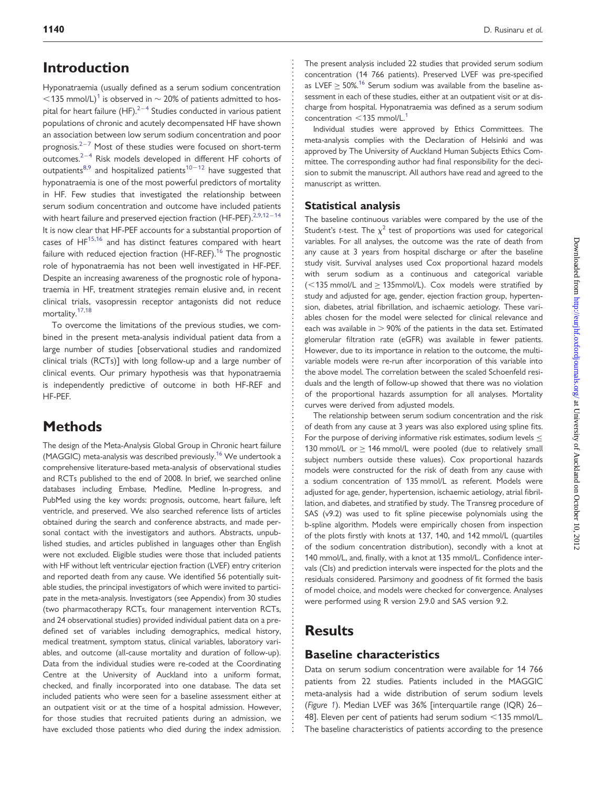## Introduction

Hyponatraemia (usually defined as a serum sodium concentration <[1](#page-7-0)35 mmol/L)<sup>1</sup> is observed in  $\sim$  20% of patients admitted to hospital for heart failure (HF). $2-4$  $2-4$  $2-4$  Studies conducted in various patient populations of chronic and acutely decompensated HF have shown an association between low serum sodium concentration and poor prognosis. $2-7$  $2-7$  $2-7$  Most of these studies were focused on short-term  $-$  outcomes. $2-4$  $2-4$  $2-4$  Risk models developed in different HF cohorts of outpatients<sup>[8](#page-7-0),[9](#page-7-0)</sup> and hospitalized patients<sup>10-[12](#page-7-0)</sup> have suggested that hyponatraemia is one of the most powerful predictors of mortality in HF. Few studies that investigated the relationship between serum sodium concentration and outcome have included patients with heart failure and preserved ejection fraction (HF-PEF).<sup>[2,9](#page-7-0),[12](#page-7-0)-[14](#page-7-0)</sup> It is now clear that HF-PEF accounts for a substantial proportion of cases of HF<sup>[15](#page-7-0),[16](#page-7-0)</sup> and has distinct features compared with heart failure with reduced ejection fraction (HF-REF).<sup>[16](#page-7-0)</sup> The prognostic role of hyponatraemia has not been well investigated in HF-PEF. Despite an increasing awareness of the prognostic role of hyponatraemia in HF, treatment strategies remain elusive and, in recent clinical trials, vasopressin receptor antagonists did not reduce mortality.<sup>[17](#page-7-0),[18](#page-7-0)</sup>

To overcome the limitations of the previous studies, we combined in the present meta-analysis individual patient data from a large number of studies [observational studies and randomized clinical trials (RCTs)] with long follow-up and a large number of clinical events. Our primary hypothesis was that hyponatraemia is independently predictive of outcome in both HF-REF and HF-PEF.

## **Methods**

The design of the Meta-Analysis Global Group in Chronic heart failure (MAGGIC) meta-analysis was described previously.<sup>[16](#page-7-0)</sup> We undertook a comprehensive literature-based meta-analysis of observational studies and RCTs published to the end of 2008. In brief, we searched online databases including Embase, Medline, Medline In-progress, and PubMed using the key words: prognosis, outcome, heart failure, left ventricle, and preserved. We also searched reference lists of articles obtained during the search and conference abstracts, and made personal contact with the investigators and authors. Abstracts, unpublished studies, and articles published in languages other than English were not excluded. Eligible studies were those that included patients with HF without left ventricular ejection fraction (LVEF) entry criterion and reported death from any cause. We identified 56 potentially suitable studies, the principal investigators of which were invited to participate in the meta-analysis. Investigators (see Appendix) from 30 studies (two pharmacotherapy RCTs, four management intervention RCTs, and 24 observational studies) provided individual patient data on a predefined set of variables including demographics, medical history, medical treatment, symptom status, clinical variables, laboratory variables, and outcome (all-cause mortality and duration of follow-up). Data from the individual studies were re-coded at the Coordinating Centre at the University of Auckland into a uniform format, checked, and finally incorporated into one database. The data set included patients who were seen for a baseline assessment either at an outpatient visit or at the time of a hospital admission. However, for those studies that recruited patients during an admission, we have excluded those patients who died during the index admission.

The present analysis included 22 studies that provided serum sodium concentration (14 766 patients). Preserved LVEF was pre-specified as LVEF  $>$  50%.<sup>[16](#page-7-0)</sup> Serum sodium was available from the baseline assessment in each of these studies, either at an outpatient visit or at discharge from hospital. Hyponatraemia was defined as a serum sodium concentration  $<$  135 mmol/L.<sup>1</sup>

Individual studies were approved by Ethics Committees. The meta-analysis complies with the Declaration of Helsinki and was approved by The University of Auckland Human Subjects Ethics Committee. The corresponding author had final responsibility for the decision to submit the manuscript. All authors have read and agreed to the manuscript as written.

#### Statistical analysis

The baseline continuous variables were compared by the use of the Student's t-test. The  $\chi^2$  test of proportions was used for categorical variables. For all analyses, the outcome was the rate of death from any cause at 3 years from hospital discharge or after the baseline study visit. Survival analyses used Cox proportional hazard models with serum sodium as a continuous and categorical variable (<135 mmol/L and  $\geq$  135mmol/L). Cox models were stratified by study and adjusted for age, gender, ejection fraction group, hypertension, diabetes, atrial fibrillation, and ischaemic aetiology. These variables chosen for the model were selected for clinical relevance and each was available in  $>$  90% of the patients in the data set. Estimated glomerular filtration rate (eGFR) was available in fewer patients. However, due to its importance in relation to the outcome, the multivariable models were re-run after incorporation of this variable into the above model. The correlation between the scaled Schoenfeld residuals and the length of follow-up showed that there was no violation of the proportional hazards assumption for all analyses. Mortality curves were derived from adjusted models.

The relationship between serum sodium concentration and the risk of death from any cause at 3 years was also explored using spline fits. For the purpose of deriving informative risk estimates, sodium levels  $\leq$ 130 mmol/L or > 146 mmol/L were pooled (due to relatively small subject numbers outside these values). Cox proportional hazards models were constructed for the risk of death from any cause with a sodium concentration of 135 mmol/L as referent. Models were adjusted for age, gender, hypertension, ischaemic aetiology, atrial fibrillation, and diabetes, and stratified by study. The Transreg procedure of SAS (v9.2) was used to fit spline piecewise polynomials using the b-spline algorithm. Models were empirically chosen from inspection of the plots firstly with knots at 137, 140, and 142 mmol/L (quartiles of the sodium concentration distribution), secondly with a knot at 140 mmol/L, and, finally, with a knot at 135 mmol/L. Confidence intervals (CIs) and prediction intervals were inspected for the plots and the residuals considered. Parsimony and goodness of fit formed the basis of model choice, and models were checked for convergence. Analyses were performed using R version 2.9.0 and SAS version 9.2.

## **Results**

#### Baseline characteristics

Data on serum sodium concentration were available for 14 766 patients from 22 studies. Patients included in the MAGGIC meta-analysis had a wide distribution of serum sodium levels (Figure [1](#page-2-0)). Median LVEF was 36% [interquartile range (IQR) 26– 48]. Eleven per cent of patients had serum sodium <135 mmol/L. The baseline characteristics of patients according to the presence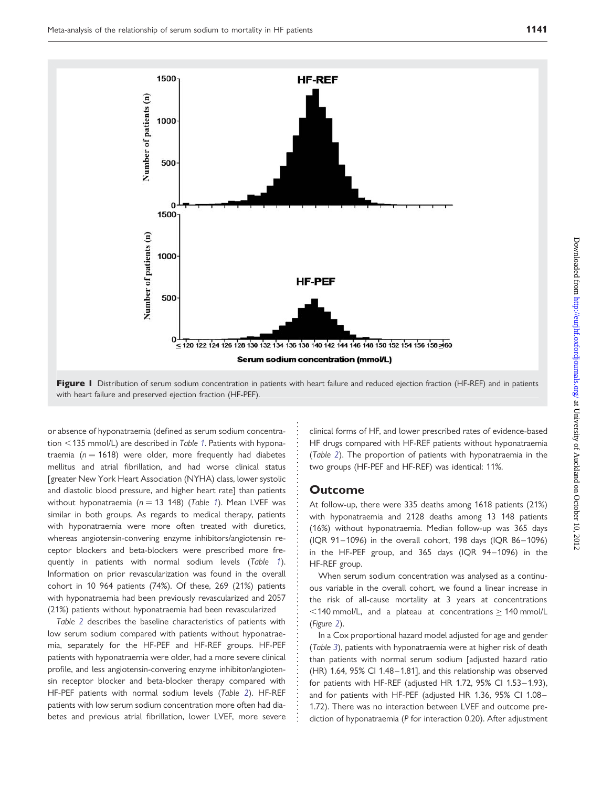<span id="page-2-0"></span>

Figure I Distribution of serum sodium concentration in patients with heart failure and reduced ejection fraction (HF-REF) and in patients with heart failure and preserved ejection fraction (HF-PEF).

or absence of hyponatraemia (defined as serum sodium concentration  $\langle 135 \text{ mmol/L} \rangle$  $\langle 135 \text{ mmol/L} \rangle$  $\langle 135 \text{ mmol/L} \rangle$  are described in Table 1. Patients with hyponatraemia ( $n = 1618$ ) were older, more frequently had diabetes mellitus and atrial fibrillation, and had worse clinical status [greater New York Heart Association (NYHA) class, lower systolic and diastolic blood pressure, and higher heart rate] than patients without hyponatraemia ( $n = 13$  $n = 13$  $n = 13$  148) (Table 1). Mean LVEF was similar in both groups. As regards to medical therapy, patients with hyponatraemia were more often treated with diuretics, whereas angiotensin-convering enzyme inhibitors/angiotensin receptor blockers and beta-blockers were prescribed more frequently in patients with normal sodium levels (Table [1](#page-3-0)). Information on prior revascularization was found in the overall cohort in 10 964 patients (74%). Of these, 269 (21%) patients with hyponatraemia had been previously revascularized and 2057 (21%) patients without hyponatraemia had been revascularized

Table [2](#page-4-0) describes the baseline characteristics of patients with low serum sodium compared with patients without hyponatraemia, separately for the HF-PEF and HF-REF groups. HF-PEF patients with hyponatraemia were older, had a more severe clinical profile, and less angiotensin-convering enzyme inhibitor/angiotensin receptor blocker and beta-blocker therapy compared with HF-PEF patients with normal sodium levels (Table [2](#page-4-0)). HF-REF patients with low serum sodium concentration more often had diabetes and previous atrial fibrillation, lower LVEF, more severe

clinical forms of HF, and lower prescribed rates of evidence-based HF drugs compared with HF-REF patients without hyponatraemia (Table [2](#page-4-0)). The proportion of patients with hyponatraemia in the two groups (HF-PEF and HF-REF) was identical: 11%.

#### **Outcome**

At follow-up, there were 335 deaths among 1618 patients (21%) with hyponatraemia and 2128 deaths among 13 148 patients (16%) without hyponatraemia. Median follow-up was 365 days (IQR 91 –1096) in the overall cohort, 198 days (IQR 86– 1096) in the HF-PEF group, and 365 days (IQR 94-1096) in the HF-REF group.

When serum sodium concentration was analysed as a continuous variable in the overall cohort, we found a linear increase in the risk of all-cause mortality at 3 years at concentrations  $<$  140 mmol/L, and a plateau at concentrations  $\geq$  140 mmol/L (Figure [2](#page-5-0)).

In a Cox proportional hazard model adjusted for age and gender (Table [3](#page-5-0)), patients with hyponatraemia were at higher risk of death than patients with normal serum sodium [adjusted hazard ratio  $(HR)$  1.64, 95% CI 1.48 – 1.81], and this relationship was observed for patients with HF-REF (adjusted HR 1.72, 95% CI 1.53–1.93), and for patients with HF-PEF (adjusted HR 1.36, 95% CI 1.08– 1.72). There was no interaction between LVEF and outcome prediction of hyponatraemia (P for interaction 0.20). After adjustment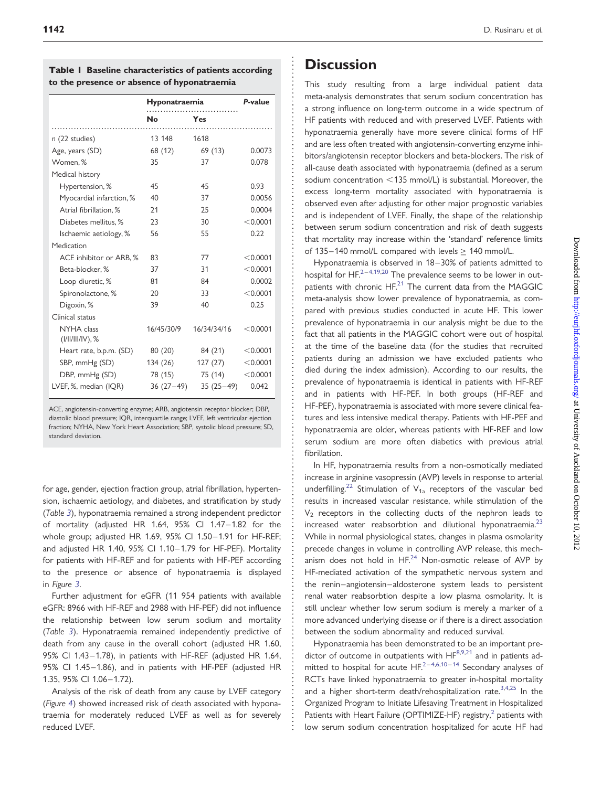|                                   | Hyponatraemia |             | P-value  |
|-----------------------------------|---------------|-------------|----------|
|                                   | No            | Yes         |          |
|                                   |               |             |          |
| $n(22$ studies)                   | 13 148        | 1618        |          |
| Age, years (SD)                   | 68 (12)       | 69 (13)     | 0.0073   |
| Women, %                          | 35<br>37      |             | 0.078    |
| Medical history                   |               |             |          |
| Hypertension, %                   | 45            | 45          | 0.93     |
| Myocardial infarction, %          | 40            | 37          | 0.0056   |
| Atrial fibrillation, %            | 21            | 25          | 0.0004   |
| Diabetes mellitus, %              | 23            | 30          | < 0.0001 |
| Ischaemic aetiology, %            | 56            | 55          | 0.22     |
| Medication                        |               |             |          |
| ACE inhibitor or ARB, %           | 83            | 77          | < 0.0001 |
| Beta-blocker, %                   | 37            | 31          | < 0.0001 |
| Loop diuretic, %                  | 81            | 84          | 0.0002   |
| Spironolactone, %                 | 20            | 33          | < 0.0001 |
| Digoxin, %                        | 39            | 40          | 0.25     |
| Clinical status                   |               |             |          |
| NYHA class<br>$(1/11/111/1V)$ , % | 16/45/30/9    | 16/34/34/16 | < 0.0001 |
| Heart rate, b.p.m. (SD)           | 80 (20)       | 84 (21)     | < 0.0001 |
| SBP, mmHg (SD)                    | 134 (26)      | 127(27)     | < 0.0001 |
| DBP, mmHg (SD)                    | 78 (15)       | 75 (14)     | < 0.0001 |
| LVEF, %, median (IQR)             | $36(27-49)$   | $35(25-49)$ | 0.042    |

<span id="page-3-0"></span>Table 1 Baseline characteristics of patients according to the presence or absence of hyponatraemia

ACE, angiotensin-converting enzyme; ARB, angiotensin receptor blocker; DBP, diastolic blood pressure; IQR, interquartile range; LVEF, left ventricular ejection fraction; NYHA, New York Heart Association; SBP, systolic blood pressure; SD, standard deviation.

for age, gender, ejection fraction group, atrial fibrillation, hypertension, ischaemic aetiology, and diabetes, and stratification by study (Table [3](#page-5-0)), hyponatraemia remained a strong independent predictor of mortality (adjusted HR 1.64, 95% CI 1.47–1.82 for the whole group; adjusted HR 1.69, 95% CI 1.50–1.91 for HF-REF; and adjusted HR 1.40, 95% CI 1.10–1.79 for HF-PEF). Mortality for patients with HF-REF and for patients with HF-PEF according to the presence or absence of hyponatraemia is displayed in Figure [3](#page-5-0).

Further adjustment for eGFR (11 954 patients with available eGFR: 8966 with HF-REF and 2988 with HF-PEF) did not influence the relationship between low serum sodium and mortality (Table [3](#page-5-0)). Hyponatraemia remained independently predictive of death from any cause in the overall cohort (adjusted HR 1.60, 95% CI 1.43-1.78), in patients with HF-REF (adjusted HR 1.64, 95% CI 1.45-1.86), and in patients with HF-PEF (adjusted HR 1.35, 95% CI 1.06– 1.72).

Analysis of the risk of death from any cause by LVEF category (Figure [4](#page-5-0)) showed increased risk of death associated with hyponatraemia for moderately reduced LVEF as well as for severely reduced LVEF.

## **Discussion**

This study resulting from a large individual patient data meta-analysis demonstrates that serum sodium concentration has a strong influence on long-term outcome in a wide spectrum of HF patients with reduced and with preserved LVEF. Patients with hyponatraemia generally have more severe clinical forms of HF and are less often treated with angiotensin-converting enzyme inhibitors/angiotensin receptor blockers and beta-blockers. The risk of all-cause death associated with hyponatraemia (defined as a serum sodium concentration  $<$ 135 mmol/L) is substantial. Moreover, the excess long-term mortality associated with hyponatraemia is observed even after adjusting for other major prognostic variables and is independent of LVEF. Finally, the shape of the relationship between serum sodium concentration and risk of death suggests that mortality may increase within the 'standard' reference limits of 135 – 140 mmol/L compared with levels  $\geq$  140 mmol/L.

Hyponatraemia is observed in 18-30% of patients admitted to hospital for  $HF^{2-4,19,20}$  $HF^{2-4,19,20}$  $HF^{2-4,19,20}$  $HF^{2-4,19,20}$  $HF^{2-4,19,20}$  $HF^{2-4,19,20}$  $HF^{2-4,19,20}$  The prevalence seems to be lower in outpatients with chronic  $HF^{21}$  $HF^{21}$  $HF^{21}$  The current data from the MAGGIC meta-analysis show lower prevalence of hyponatraemia, as compared with previous studies conducted in acute HF. This lower prevalence of hyponatraemia in our analysis might be due to the fact that all patients in the MAGGIC cohort were out of hospital at the time of the baseline data (for the studies that recruited patients during an admission we have excluded patients who died during the index admission). According to our results, the prevalence of hyponatraemia is identical in patients with HF-REF and in patients with HF-PEF. In both groups (HF-REF and HF-PEF), hyponatraemia is associated with more severe clinical features and less intensive medical therapy. Patients with HF-PEF and hyponatraemia are older, whereas patients with HF-REF and low serum sodium are more often diabetics with previous atrial fibrillation.

In HF, hyponatraemia results from a non-osmotically mediated increase in arginine vasopressin (AVP) levels in response to arterial underfilling.<sup>[22](#page-7-0)</sup> Stimulation of  $V_{1a}$  receptors of the vascular bed results in increased vascular resistance, while stimulation of the  $V_2$  receptors in the collecting ducts of the nephron leads to increased water reabsorbtion and dilutional hyponatraemia.<sup>[23](#page-7-0)</sup> While in normal physiological states, changes in plasma osmolarity precede changes in volume in controlling AVP release, this mechanism does not hold in  $HF^{24}$  $HF^{24}$  $HF^{24}$  Non-osmotic release of AVP by HF-mediated activation of the sympathetic nervous system and the renin –angiotensin –aldosterone system leads to persistent renal water reabsorbtion despite a low plasma osmolarity. It is still unclear whether low serum sodium is merely a marker of a more advanced underlying disease or if there is a direct association between the sodium abnormality and reduced survival.

Hyponatraemia has been demonstrated to be an important predictor of outcome in outpatients with  $HF^{8,9,21}$  $HF^{8,9,21}$  $HF^{8,9,21}$  $HF^{8,9,21}$  $HF^{8,9,21}$  $HF^{8,9,21}$  $HF^{8,9,21}$  and in patients admitted to hospital for acute  $HF^{2-4,6,10-14}$  $HF^{2-4,6,10-14}$  $HF^{2-4,6,10-14}$  $HF^{2-4,6,10-14}$  $HF^{2-4,6,10-14}$  $HF^{2-4,6,10-14}$  $HF^{2-4,6,10-14}$  Secondary analyses of RCTs have linked hyponatraemia to greater in-hospital mortality and a higher short-term death/rehospitalization rate. $3,4,25$  In the Organized Program to Initiate Lifesaving Treatment in Hospitalized Patients with Heart Failure (OPTIMIZE-HF) registry, $^2$  patients with low serum sodium concentration hospitalized for acute HF had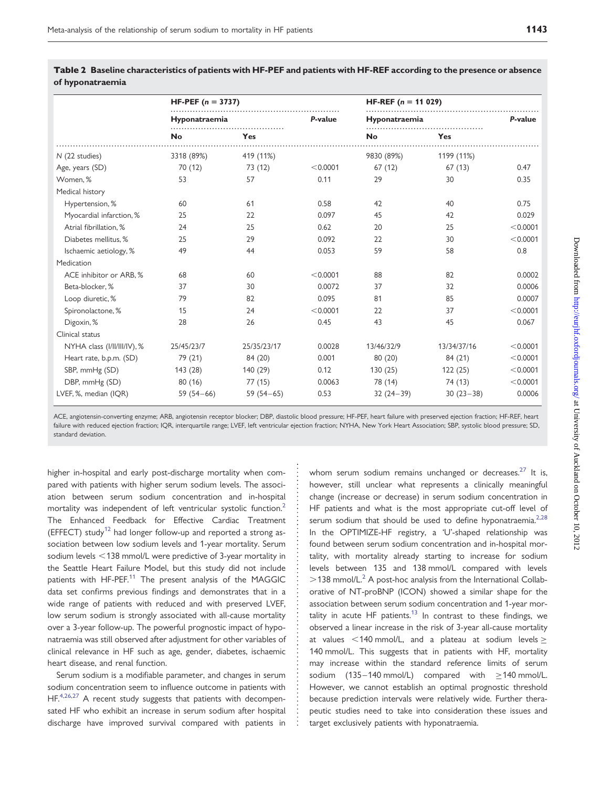|                             | <b>HF-PEF</b> $(n = 3737)$ |             |          | HF-REF $(n = 11 029)$ |             |          |
|-----------------------------|----------------------------|-------------|----------|-----------------------|-------------|----------|
|                             | Hyponatraemia              |             | P-value  | Hyponatraemia         |             | P-value  |
|                             | <b>No</b>                  | <b>Yes</b>  |          | No                    | Yes         |          |
| N (22 studies)              | 3318 (89%)                 | 419 (11%)   |          | 9830 (89%)            | 1199 (11%)  |          |
| Age, years (SD)             | 70 (12)                    | 73 (12)     | < 0.0001 | 67(12)                | 67(13)      | 0.47     |
| Women, %                    | 53                         | 57          | 0.11     | 29                    | 30          | 0.35     |
| Medical history             |                            |             |          |                       |             |          |
| Hypertension, %             | 60                         | 61          | 0.58     | 42                    | 40          | 0.75     |
| Myocardial infarction, %    | 25                         | 22          | 0.097    | 45                    | 42          | 0.029    |
| Atrial fibrillation, %      | 24                         | 25          | 0.62     | 20                    | 25          | < 0.0001 |
| Diabetes mellitus, %        | 25                         | 29          | 0.092    | 22                    | 30          | < 0.0001 |
| Ischaemic aetiology, %      | 49                         | 44          | 0.053    | 59                    | 58          | 0.8      |
| Medication                  |                            |             |          |                       |             |          |
| ACE inhibitor or ARB, %     | 68                         | 60          | < 0.0001 | 88                    | 82          | 0.0002   |
| Beta-blocker, %             | 37                         | 30          | 0.0072   | 37                    | 32          | 0.0006   |
| Loop diuretic, %            | 79                         | 82          | 0.095    | 81                    | 85          | 0.0007   |
| Spironolactone, %           | 15                         | 24          | < 0.0001 | 22                    | 37          | < 0.0001 |
| Digoxin, %                  | 28                         | 26          | 0.45     | 43                    | 45          | 0.067    |
| Clinical status             |                            |             |          |                       |             |          |
| NYHA class (I/II/III/IV), % | 25/45/23/7                 | 25/35/23/17 | 0.0028   | 13/46/32/9            | 13/34/37/16 | < 0.0001 |
| Heart rate, b.p.m. (SD)     | 79 (21)                    | 84 (20)     | 0.001    | 80 (20)               | 84 (21)     | < 0.0001 |
| SBP, mmHg (SD)              | 143 (28)                   | 140 (29)    | 0.12     | 130(25)               | 122(25)     | < 0.0001 |
| DBP, mmHg (SD)              | 80(16)                     | 77 (15)     | 0.0063   | 78 (14)               | 74 (13)     | < 0.0001 |
| LVEF, %, median (IQR)       | $59(54-66)$                | $59(54-65)$ | 0.53     | $32(24-39)$           | $30(23-38)$ | 0.0006   |

<span id="page-4-0"></span>Table 2 Baseline characteristics of patients with HF-PEF and patients with HF-REF according to the presence or absence of hyponatraemia

ACE, angiotensin-converting enzyme; ARB, angiotensin receptor blocker; DBP, diastolic blood pressure; HF-PEF, heart failure with preserved ejection fraction; HF-REF, heart failure with reduced ejection fraction; IQR, interquartile range; LVEF, left ventricular ejection fraction; NYHA, New York Heart Association; SBP, systolic blood pressure; SD, standard deviation.

higher in-hospital and early post-discharge mortality when compared with patients with higher serum sodium levels. The association between serum sodium concentration and in-hospital mortality was independent of left ventricular systolic function.<sup>[2](#page-7-0)</sup> The Enhanced Feedback for Effective Cardiac Treatment (EFFECT) study<sup>[12](#page-7-0)</sup> had longer follow-up and reported a strong association between low sodium levels and 1-year mortality. Serum sodium levels <138 mmol/L were predictive of 3-year mortality in the Seattle Heart Failure Model, but this study did not include patients with HF-PEF.<sup>11</sup> The present analysis of the MAGGIC data set confirms previous findings and demonstrates that in a wide range of patients with reduced and with preserved LVEF, low serum sodium is strongly associated with all-cause mortality over a 3-year follow-up. The powerful prognostic impact of hyponatraemia was still observed after adjustment for other variables of clinical relevance in HF such as age, gender, diabetes, ischaemic heart disease, and renal function.

Serum sodium is a modifiable parameter, and changes in serum sodium concentration seem to influence outcome in patients with HF.<sup>4,26,27</sup> A recent study suggests that patients with decompensated HF who exhibit an increase in serum sodium after hospital discharge have improved survival compared with patients in whom serum sodium remains unchanged or decreases. $27$  It is, however, still unclear what represents a clinically meaningful change (increase or decrease) in serum sodium concentration in HF patients and what is the most appropriate cut-off level of serum sodium that should be used to define hyponatraemia. $2,28$ In the OPTIMIZE-HF registry, a 'U'-shaped relationship was found between serum sodium concentration and in-hospital mortality, with mortality already starting to increase for sodium levels between 135 and 138 mmol/L compared with levels  $>$ 138 mmol/L.<sup>2</sup> A post-hoc analysis from the International Collaborative of NT-proBNP (ICON) showed a similar shape for the association between serum sodium concentration and 1-year mortality in acute HF patients.<sup>13</sup> In contrast to these findings, we observed a linear increase in the risk of 3-year all-cause mortality at values <140 mmol/L, and a plateau at sodium levels  $\ge$ 140 mmol/L. This suggests that in patients with HF, mortality may increase within the standard reference limits of serum sodium  $(135-140 \text{ mmol/L})$  compared with  $\geq 140 \text{ mmol/L}$ . However, we cannot establish an optimal prognostic threshold because prediction intervals were relatively wide. Further therapeutic studies need to take into consideration these issues and target exclusively patients with hyponatraemia.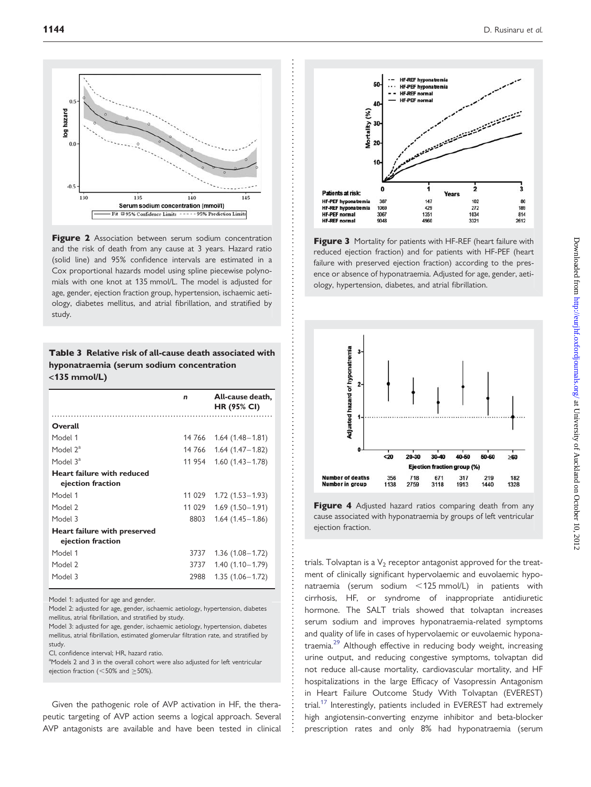<span id="page-5-0"></span>

Figure 2 Association between serum sodium concentration and the risk of death from any cause at 3 years. Hazard ratio (solid line) and 95% confidence intervals are estimated in a Cox proportional hazards model using spline piecewise polynomials with one knot at 135 mmol/L. The model is adjusted for age, gender, ejection fraction group, hypertension, ischaemic aetiology, diabetes mellitus, and atrial fibrillation, and stratified by study.

#### Table 3 Relative risk of all-cause death associated with hyponatraemia (serum sodium concentration <135 mmol/L)

|                              | n      | All-cause death,<br><b>HR (95% CI)</b> |
|------------------------------|--------|----------------------------------------|
|                              |        |                                        |
| Overall                      |        |                                        |
| Model 1                      | 14 766 | $1.64(1.48-1.81)$                      |
| Model 2 <sup>a</sup>         | 14 766 | $1.64(1.47-1.82)$                      |
| Model $3^a$                  | 11 954 | $1.60(1.43 - 1.78)$                    |
| Heart failure with reduced   |        |                                        |
| ejection fraction            |        |                                        |
| Model 1                      | 11 029 | $1.72(1.53 - 1.93)$                    |
| Model 2                      | 11 029 | $1.69(1.50 - 1.91)$                    |
| Model 3                      | 8803   | $1.64(1.45 - 1.86)$                    |
| Heart failure with preserved |        |                                        |
| ejection fraction            |        |                                        |
| Model 1                      | 3737   | $1.36(1.08 - 1.72)$                    |
| Model 2                      | 3737   | $1.40(1.10 - 1.79)$                    |
| Model 3                      | 2988   | $1.35(1.06 - 1.72)$                    |

Model 1: adjusted for age and gender.

Model 2: adjusted for age, gender, ischaemic aetiology, hypertension, diabetes mellitus, atrial fibrillation, and stratified by study.

Model 3: adjusted for age, gender, ischaemic aetiology, hypertension, diabetes mellitus, atrial fibrillation, estimated glomerular filtration rate, and stratified by study.

CI, confidence interval; HR, hazard ratio.

<sup>a</sup>Models 2 and 3 in the overall cohort were also adjusted for left ventricular ejection fraction ( $<$  50% and  $\geq$  50%).

Given the pathogenic role of AVP activation in HF, the therapeutic targeting of AVP action seems a logical approach. Several AVP antagonists are available and have been tested in clinical



Figure 3 Mortality for patients with HF-REF (heart failure with reduced ejection fraction) and for patients with HF-PEF (heart failure with preserved ejection fraction) according to the presence or absence of hyponatraemia. Adjusted for age, gender, aetiology, hypertension, diabetes, and atrial fibrillation.



Figure 4 Adjusted hazard ratios comparing death from any cause associated with hyponatraemia by groups of left ventricular ejection fraction.

trials. Tolvaptan is a  $V_2$  receptor antagonist approved for the treatment of clinically significant hypervolaemic and euvolaemic hyponatraemia (serum sodium <125 mmol/L) in patients with cirrhosis, HF, or syndrome of inappropriate antidiuretic hormone. The SALT trials showed that tolvaptan increases serum sodium and improves hyponatraemia-related symptoms and quality of life in cases of hypervolaemic or euvolaemic hyponatraemia.<sup>29</sup> Although effective in reducing body weight, increasing urine output, and reducing congestive symptoms, tolvaptan did not reduce all-cause mortality, cardiovascular mortality, and HF hospitalizations in the large Efficacy of Vasopressin Antagonism in Heart Failure Outcome Study With Tolvaptan (EVEREST) trial.<sup>[17](#page-7-0)</sup> Interestingly, patients included in EVEREST had extremely high angiotensin-converting enzyme inhibitor and beta-blocker prescription rates and only 8% had hyponatraemia (serum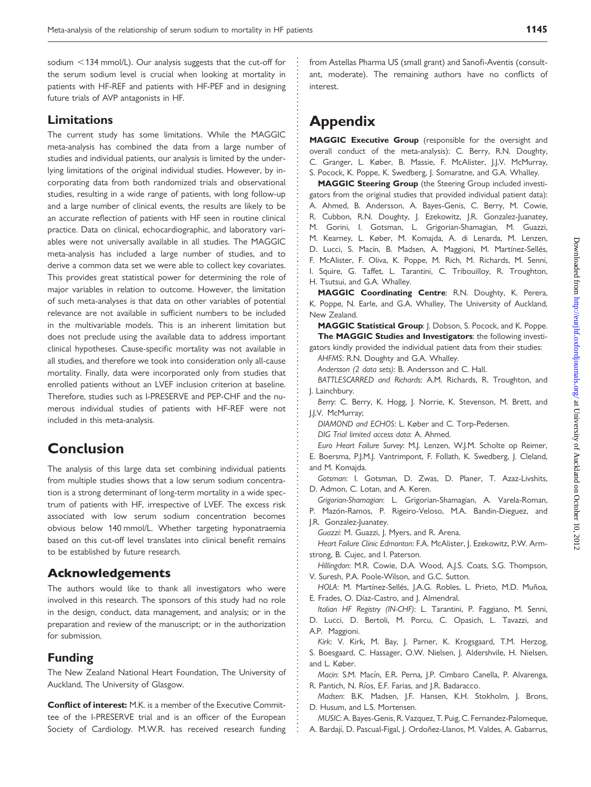sodium <134 mmol/L). Our analysis suggests that the cut-off for the serum sodium level is crucial when looking at mortality in patients with HF-REF and patients with HF-PEF and in designing future trials of AVP antagonists in HF.

#### Limitations

The current study has some limitations. While the MAGGIC meta-analysis has combined the data from a large number of studies and individual patients, our analysis is limited by the underlying limitations of the original individual studies. However, by incorporating data from both randomized trials and observational studies, resulting in a wide range of patients, with long follow-up and a large number of clinical events, the results are likely to be an accurate reflection of patients with HF seen in routine clinical practice. Data on clinical, echocardiographic, and laboratory variables were not universally available in all studies. The MAGGIC meta-analysis has included a large number of studies, and to derive a common data set we were able to collect key covariates. This provides great statistical power for determining the role of major variables in relation to outcome. However, the limitation of such meta-analyses is that data on other variables of potential relevance are not available in sufficient numbers to be included in the multivariable models. This is an inherent limitation but does not preclude using the available data to address important clinical hypotheses. Cause-specific mortality was not available in all studies, and therefore we took into consideration only all-cause mortality. Finally, data were incorporated only from studies that enrolled patients without an LVEF inclusion criterion at baseline. Therefore, studies such as I-PRESERVE and PEP-CHF and the numerous individual studies of patients with HF-REF were not included in this meta-analysis.

## Conclusion

The analysis of this large data set combining individual patients from multiple studies shows that a low serum sodium concentration is a strong determinant of long-term mortality in a wide spectrum of patients with HF, irrespective of LVEF. The excess risk associated with low serum sodium concentration becomes obvious below 140 mmol/L. Whether targeting hyponatraemia based on this cut-off level translates into clinical benefit remains to be established by future research.

#### Acknowledgements

The authors would like to thank all investigators who were involved in this research. The sponsors of this study had no role in the design, conduct, data management, and analysis; or in the preparation and review of the manuscript; or in the authorization for submission.

#### Funding

The New Zealand National Heart Foundation, The University of Auckland, The University of Glasgow.

Conflict of interest: M.K. is a member of the Executive Committee of the I-PRESERVE trial and is an officer of the European Society of Cardiology. M.W.R. has received research funding from Astellas Pharma US (small grant) and Sanofi-Aventis (consultant, moderate). The remaining authors have no conflicts of interest.

# Appendix

MAGGIC Executive Group (responsible for the oversight and overall conduct of the meta-analysis): C. Berry, R.N. Doughty, C. Granger, L. Køber, B. Massie, F. McAlister, J.J.V. McMurray, S. Pocock, K. Poppe, K. Swedberg, J. Somaratne, and G.A. Whalley.

MAGGIC Steering Group (the Steering Group included investigators from the original studies that provided individual patient data): A. Ahmed, B. Andersson, A. Bayes-Genis, C. Berry, M. Cowie, R. Cubbon, R.N. Doughty, J. Ezekowitz, J.R. Gonzalez-Juanatey, M. Gorini, I. Gotsman, L. Grigorian-Shamagian, M. Guazzi, M. Kearney, L. Køber, M. Komajda, A. di Lenarda, M. Lenzen, D. Lucci, S. Macín, B. Madsen, A. Maggioni, M. Martínez-Sellés, F. McAlister, F. Oliva, K. Poppe, M. Rich, M. Richards, M. Senni, I. Squire, G. Taffet, L. Tarantini, C. Tribouilloy, R. Troughton, H. Tsutsui, and G.A. Whalley.

MAGGIC Coordinating Centre: R.N. Doughty, K. Perera, K. Poppe, N. Earle, and G.A. Whalley, The University of Auckland, New Zealand.

MAGGIC Statistical Group: J. Dobson, S. Pocock, and K. Poppe. The MAGGIC Studies and Investigators: the following investigators kindly provided the individual patient data from their studies:

AHFMS: R.N. Doughty and G.A. Whalley.

Andersson (2 data sets): B. Andersson and C. Hall.

BATTLESCARRED and Richards: A.M. Richards, R. Troughton, and J. Lainchbury.

Berry: C. Berry, K. Hogg, J. Norrie, K. Stevenson, M. Brett, and J.J.V. McMurray;

DIAMOND and ECHOS: L. Køber and C. Torp-Pedersen. DIG Trial limited access data: A. Ahmed.

Euro Heart Failure Survey: M.J. Lenzen, W.J.M. Scholte op Reimer, E. Boersma, P.J.M.J. Vantrimpont, F. Follath, K. Swedberg, J. Cleland,

and M. Komajda. Gotsman: I. Gotsman, D. Zwas, D. Planer, T. Azaz-Livshits,

D. Admon, C. Lotan, and A. Keren.

Grigorian-Shamagian: L. Grigorian-Shamagian, A. Varela-Roman, P. Mazón-Ramos, P. Rigeiro-Veloso, M.A. Bandin-Dieguez, and J.R. Gonzalez-Juanatey.

Guazzi: M. Guazzi, J. Myers, and R. Arena.

Heart Failure Clinic Edmonton: F.A. McAlister, J. Ezekowitz, P.W. Armstrong, B. Cujec, and I. Paterson.

Hillingdon: M.R. Cowie, D.A. Wood, A.J.S. Coats, S.G. Thompson, V. Suresh, P.A. Poole-Wilson, and G.C. Sutton.

HOLA: M. Martínez-Sellés, J.A.G. Robles, L. Prieto, M.D. Muñoa, E. Frades, O. Díaz-Castro, and J. Almendral.

Italian HF Registry (IN-CHF): L. Tarantini, P. Faggiano, M. Senni, D. Lucci, D. Bertoli, M. Porcu, C. Opasich, L. Tavazzi, and A.P. Maggioni.

Kirk: V. Kirk, M. Bay, J. Parner, K. Krogsgaard, T.M. Herzog, S. Boesgaard, C. Hassager, O.W. Nielsen, J. Aldershvile, H. Nielsen, and L. Køber.

Macin: S.M. Macín, E.R. Perna, J.P. Cimbaro Canella, P. Alvarenga, R. Pantich, N. Ríos, E.F. Farias, and J.R. Badaracco.

Madsen: B.K. Madsen, J.F. Hansen, K.H. Stokholm, J. Brons, D. Husum, and L.S. Mortensen.

MUSIC: A. Bayes-Genis, R. Vazquez, T. Puig, C. Fernandez-Palomeque,

A. Bardají, D. Pascual-Figal, J. Ordoñez-Llanos, M. Valdes, A. Gabarrus,